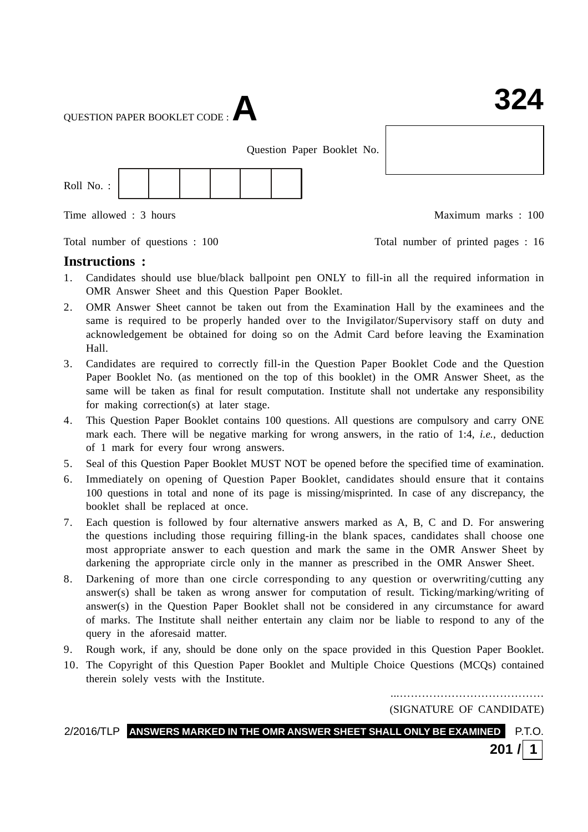QUESTION PAPER BOOKLET CODE :**A**

Question Paper Booklet No.



Total number of questions : 100 Total number of printed pages : 16

Time allowed : 3 hours Maximum marks : 100

**Instructions :**

- 1. Candidates should use blue/black ballpoint pen ONLY to fill-in all the required information in OMR Answer Sheet and this Question Paper Booklet.
- 2. OMR Answer Sheet cannot be taken out from the Examination Hall by the examinees and the same is required to be properly handed over to the Invigilator/Supervisory staff on duty and acknowledgement be obtained for doing so on the Admit Card before leaving the Examination Hall.
- 3. Candidates are required to correctly fill-in the Question Paper Booklet Code and the Question Paper Booklet No. (as mentioned on the top of this booklet) in the OMR Answer Sheet, as the same will be taken as final for result computation. Institute shall not undertake any responsibility for making correction(s) at later stage.
- 4. This Question Paper Booklet contains 100 questions. All questions are compulsory and carry ONE mark each. There will be negative marking for wrong answers, in the ratio of 1:4, *i.e.*, deduction of 1 mark for every four wrong answers.
- 5. Seal of this Question Paper Booklet MUST NOT be opened before the specified time of examination.
- 6. Immediately on opening of Question Paper Booklet, candidates should ensure that it contains 100 questions in total and none of its page is missing/misprinted. In case of any discrepancy, the booklet shall be replaced at once.
- 7. Each question is followed by four alternative answers marked as A, B, C and D. For answering the questions including those requiring filling-in the blank spaces, candidates shall choose one most appropriate answer to each question and mark the same in the OMR Answer Sheet by darkening the appropriate circle only in the manner as prescribed in the OMR Answer Sheet.
- 8. Darkening of more than one circle corresponding to any question or overwriting/cutting any answer(s) shall be taken as wrong answer for computation of result. Ticking/marking/writing of answer(s) in the Question Paper Booklet shall not be considered in any circumstance for award of marks. The Institute shall neither entertain any claim nor be liable to respond to any of the query in the aforesaid matter.
- 9. Rough work, if any, should be done only on the space provided in this Question Paper Booklet.
- 10. The Copyright of this Question Paper Booklet and Multiple Choice Questions (MCQs) contained therein solely vests with the Institute.

...………………………………… (SIGNATURE OF CANDIDATE)

2/2016/TLP **ANSWERS MARKED IN THE OMR ANSWER SHEET SHALL ONLY BE EXAMINED** P.T.O. **201 / 1**

: 1 : **324**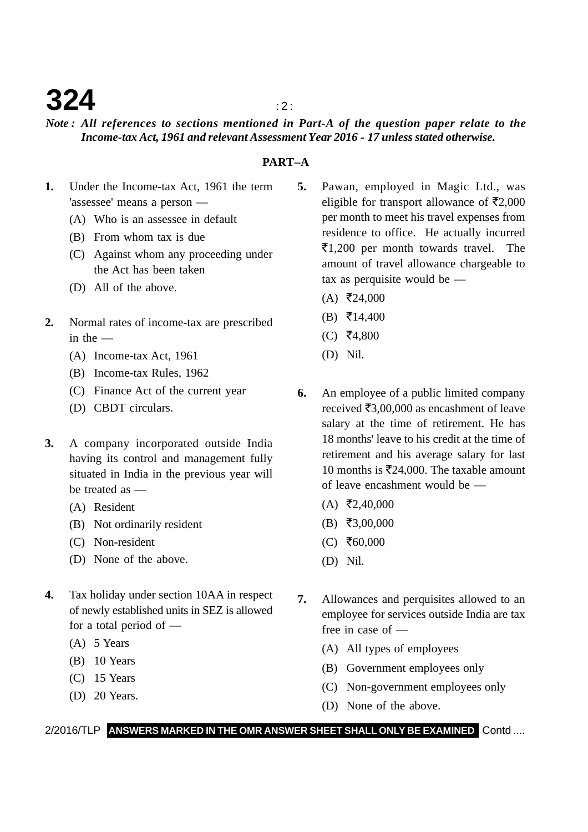## **324**  $\frac{1}{2}$

### *Note : All references to sections mentioned in Part-A of the question paper relate to the Income-tax Act, 1961 and relevant Assessment Year 2016 - 17 unless stated otherwise.*

### **PART–A**

- **1.** Under the Income-tax Act, 1961 the term 'assessee' means a person —
	- (A) Who is an assessee in default
	- (B) From whom tax is due
	- (C) Against whom any proceeding under the Act has been taken
	- (D) All of the above.
- **2.** Normal rates of income-tax are prescribed in the —
	- (A) Income-tax Act, 1961
	- (B) Income-tax Rules, 1962
	- (C) Finance Act of the current year
	- (D) CBDT circulars.
- **3.** A company incorporated outside India having its control and management fully situated in India in the previous year will be treated as —
	- (A) Resident
	- (B) Not ordinarily resident
	- (C) Non-resident
	- (D) None of the above.
- **4.** Tax holiday under section 10AA in respect of newly established units in SEZ is allowed for a total period of —
	- (A) 5 Years
	- (B) 10 Years
	- (C) 15 Years
	- (D) 20 Years.
- **5.** Pawan, employed in Magic Ltd., was eligible for transport allowance of  $\bar{\mathfrak{r}}2,000$ per month to meet his travel expenses from residence to office. He actually incurred ₹1,200 per month towards travel. The amount of travel allowance chargeable to tax as perquisite would be —
	- $(A)$  ₹24,000
	- $(B)$  ₹14,400
	- $(C)$  ₹4,800
	- (D) Nil.
- **6.** An employee of a public limited company received  $\bar{\mathfrak{e}}3,00,000$  as encashment of leave salary at the time of retirement. He has 18 months' leave to his credit at the time of retirement and his average salary for last 10 months is  $\overline{5}24,000$ . The taxable amount of leave encashment would be —
	- $(A)$  ₹2,40,000
	- $(B) \; \bar{=} \; 3,00,000$
	- $(C)$  ₹60,000
	- (D) Nil.
- **7.** Allowances and perquisites allowed to an employee for services outside India are tax free in case of —
	- (A) All types of employees
	- (B) Government employees only
	- (C) Non-government employees only
	- (D) None of the above.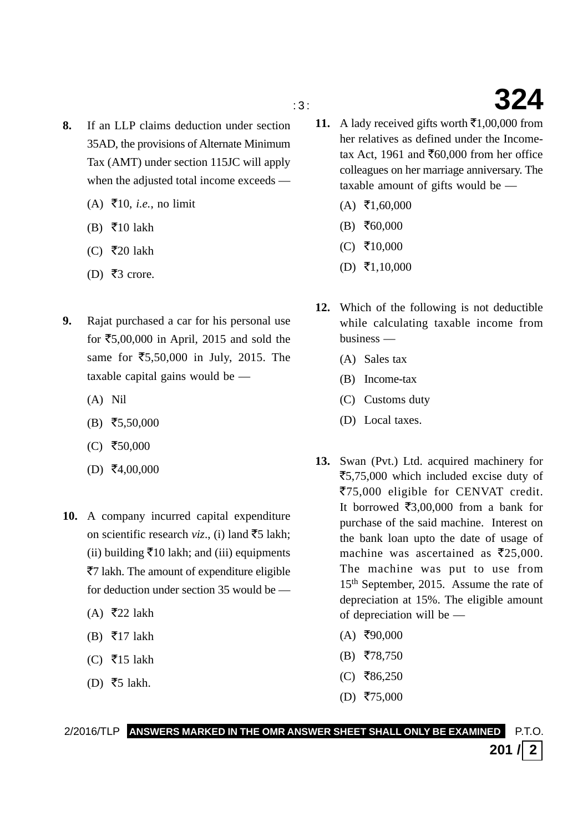- **8.** If an LLP claims deduction under section 35AD, the provisions of Alternate Minimum Tax (AMT) under section 115JC will apply when the adjusted total income exceeds —
	- (A)  $\bar{F}$ 10, *i.e.*, no limit
	- (B)  $\overline{5}10$  lakh
	- (C)  $\overline{\tau}$ 20 lakh
	- (D) ₹3 crore.
- **9.** Rajat purchased a car for his personal use for  $\text{\textless}5,00,000$  in April, 2015 and sold the same for ₹5,50,000 in July, 2015. The taxable capital gains would be —
	- (A) Nil
	- $(B)$  ₹5,50,000
	- $(C)$  ₹50,000
	- $(D) \; \bar{=}4,00,000$
- **10.** A company incurred capital expenditure on scientific research *viz*., (i) land  $\bar{z}$  lakh; (ii) building  $\bar{x}$ 10 lakh; and (iii) equipments ₹7 lakh. The amount of expenditure eligible for deduction under section 35 would be —
	- $(A)$  ₹22 lakh
	- (B)  $\overline{5}$ 17 lakh
	- (C) ₹15 lakh
	- (D) ₹5 lakh.
- **11.** A lady received gifts worth  $\bar{\mathbf{z}}$ 1,00,000 from her relatives as defined under the Incometax Act, 1961 and  $\text{\textsterling}60,000$  from her office colleagues on her marriage anniversary. The taxable amount of gifts would be —
	- $(A)$  ₹1,60,000
	- $(B) \; \bar{=} \; 60,000$
	- $(C)$  ₹10,000
	- $(D) \ \overline{\mathbf{5}}1,10,000$
- **12.** Which of the following is not deductible while calculating taxable income from business —
	- (A) Sales tax
	- (B) Income-tax
	- (C) Customs duty
	- (D) Local taxes.
- **13.** Swan (Pvt.) Ltd. acquired machinery for ₹5,75,000 which included excise duty of ₹75,000 eligible for CENVAT credit. It borrowed  $\overline{\epsilon}3,00,000$  from a bank for purchase of the said machine. Interest on the bank loan upto the date of usage of machine was ascertained as  $\bar{\mathfrak{Z}}25,000$ . The machine was put to use from 15th September, 2015. Assume the rate of depreciation at 15%. The eligible amount of depreciation will be —
	- $(A)$  ₹90,000
	- $(B)$  ₹78,750
	- $(C)$  ₹86,250
	- $(D)$  ₹75,000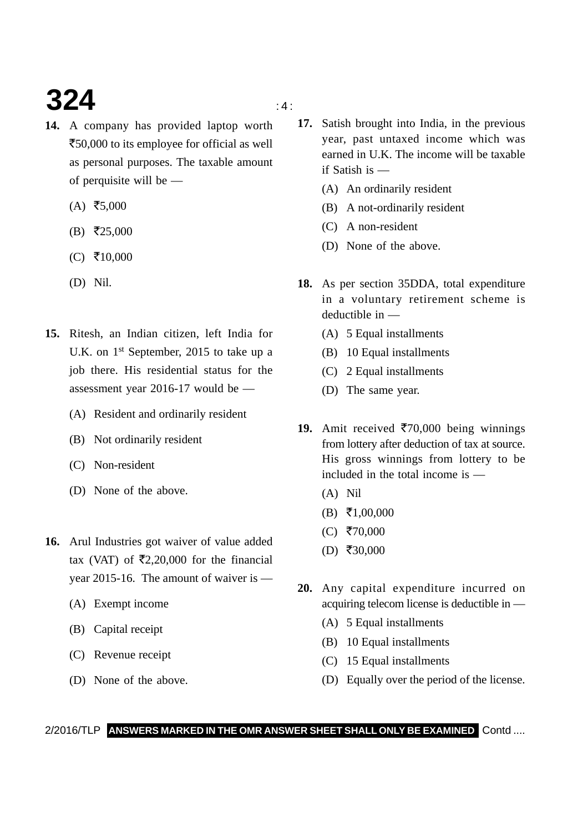# **324**  $\frac{4}{4}$

- **14.** A company has provided laptop worth ₹50,000 to its employee for official as well as personal purposes. The taxable amount of perquisite will be —
	- $(A)$  ₹5,000
	- $(B)$  ₹25,000
	- $(C)$  ₹10,000
	- (D) Nil.
- **15.** Ritesh, an Indian citizen, left India for U.K. on 1<sup>st</sup> September, 2015 to take up a job there. His residential status for the assessment year 2016-17 would be —
	- (A) Resident and ordinarily resident
	- (B) Not ordinarily resident
	- (C) Non-resident
	- (D) None of the above.
- **16.** Arul Industries got waiver of value added tax (VAT) of  $\bar{\mathfrak{Z}}2,20,000$  for the financial year 2015-16. The amount of waiver is —
	- (A) Exempt income
	- (B) Capital receipt
	- (C) Revenue receipt
	- (D) None of the above.
- **17.** Satish brought into India, in the previous year, past untaxed income which was earned in U.K. The income will be taxable if Satish is —
	- (A) An ordinarily resident
	- (B) A not-ordinarily resident
	- (C) A non-resident
	- (D) None of the above.
- **18.** As per section 35DDA, total expenditure in a voluntary retirement scheme is deductible in —
	- (A) 5 Equal installments
	- (B) 10 Equal installments
	- (C) 2 Equal installments
	- (D) The same year.
- 19. Amit received  $\overline{570,000}$  being winnings from lottery after deduction of tax at source. His gross winnings from lottery to be included in the total income is —
	- (A) Nil
	- $(B) \ \overline{5}1,00,000$
	- $(C)$  ₹70,000
	- $(D)$  ₹30,000
- **20.** Any capital expenditure incurred on acquiring telecom license is deductible in —
	- (A) 5 Equal installments
	- (B) 10 Equal installments
	- (C) 15 Equal installments
	- (D) Equally over the period of the license.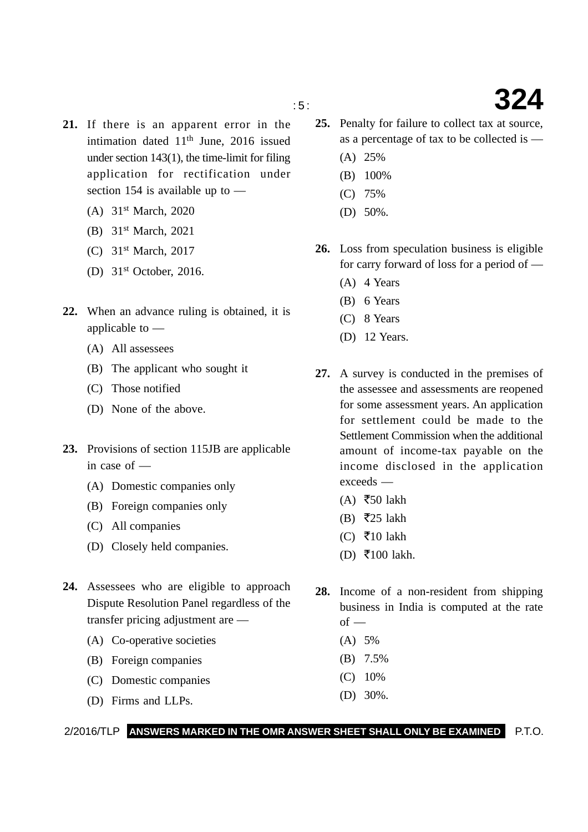- **21.** If there is an apparent error in the intimation dated  $11<sup>th</sup>$  June, 2016 issued under section 143(1), the time-limit for filing application for rectification under section 154 is available up to —
	- (A) 31st March, 2020
	- (B) 31st March, 2021
	- (C) 31st March, 2017
	- (D) 31st October, 2016.
- **22.** When an advance ruling is obtained, it is applicable to —
	- (A) All assessees
	- (B) The applicant who sought it
	- (C) Those notified
	- (D) None of the above.
- **23.** Provisions of section 115JB are applicable in case of —
	- (A) Domestic companies only
	- (B) Foreign companies only
	- (C) All companies
	- (D) Closely held companies.
- **24.** Assessees who are eligible to approach Dispute Resolution Panel regardless of the transfer pricing adjustment are —
	- (A) Co-operative societies
	- (B) Foreign companies
	- (C) Domestic companies
	- (D) Firms and LLPs.
- **25.** Penalty for failure to collect tax at source, as a percentage of tax to be collected is —
	- (A) 25%
	- (B) 100%
	- (C) 75%
	- (D) 50%.
- **26.** Loss from speculation business is eligible for carry forward of loss for a period of —
	- (A) 4 Years
	- (B) 6 Years
	- (C) 8 Years
	- (D) 12 Years.
- **27.** A survey is conducted in the premises of the assessee and assessments are reopened for some assessment years. An application for settlement could be made to the Settlement Commission when the additional amount of income-tax payable on the income disclosed in the application exceeds —
	- (A) ₹50 lakh
	- (B) ₹25 lakh
	- (C)  $\overline{\xi}$ 10 lakh
	- $(D)$  ₹100 lakh.
- **28.** Income of a non-resident from shipping business in India is computed at the rate  $of -$ 
	- (A) 5%
	- (B) 7.5%
	- (C) 10%
	- (D) 30%.

### 2/2016/TLP **ANSWERS MARKED IN THE OMR ANSWER SHEET SHALL ONLY BE EXAMINED** P.T.O.

## : 5 : **324**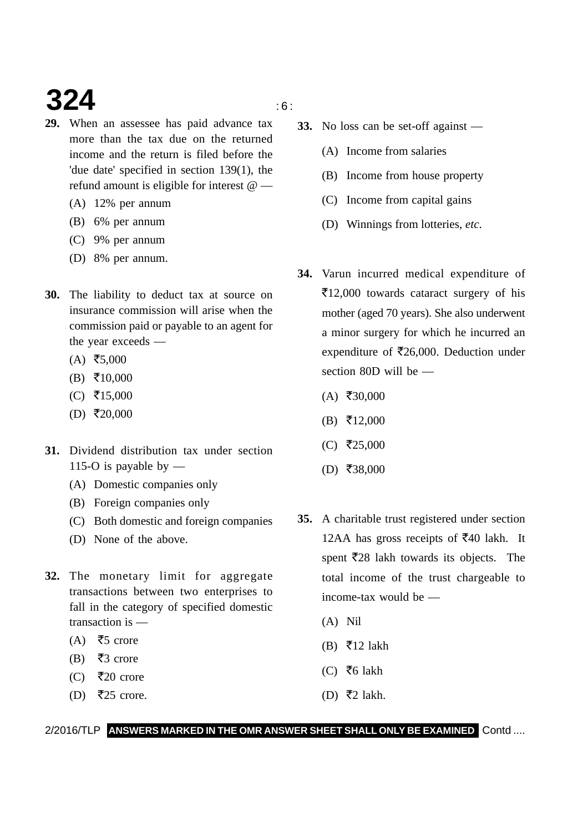# **324** is a set of  $\mathbf{S}$

- **29.** When an assessee has paid advance tax more than the tax due on the returned income and the return is filed before the 'due date' specified in section 139(1), the refund amount is eligible for interest @ —
	- (A) 12% per annum
	- (B) 6% per annum
	- (C) 9% per annum
	- (D) 8% per annum.
- **30.** The liability to deduct tax at source on insurance commission will arise when the commission paid or payable to an agent for the year exceeds —
	- $(A)$  ₹5,000
	- $(B) \ \overline{5}10,000$
	- $(C)$  ₹15,000
	- $(D)$  ₹20,000
- **31.** Dividend distribution tax under section 115-O is payable by  $-$ 
	- (A) Domestic companies only
	- (B) Foreign companies only
	- (C) Both domestic and foreign companies
	- (D) None of the above.
- **32.** The monetary limit for aggregate transactions between two enterprises to fall in the category of specified domestic transaction is —
	- (A) ₹5 crore
	- (B) ₹3 crore
	- (C) ₹20 crore
	- $(D)$  ₹25 crore.
- 
- **33.** No loss can be set-off against
	- (A) Income from salaries
	- (B) Income from house property
	- (C) Income from capital gains
	- (D) Winnings from lotteries, *etc*.
- **34.** Varun incurred medical expenditure of -12,000 towards cataract surgery of his mother (aged 70 years). She also underwent a minor surgery for which he incurred an expenditure of  $\overline{\mathfrak{Z}}26,000$ . Deduction under section 80D will be —
	- $(A)$  ₹30,000
	- $(B) \t{5}12,000$
	- $(C)$  ₹25,000
	- $(D)$  ₹38,000
- **35.** A charitable trust registered under section 12AA has gross receipts of  $\overline{5}40$  lakh. It spent ₹28 lakh towards its objects. The total income of the trust chargeable to income-tax would be —
	- (A) Nil
	- $(B)$  ₹12 lakh
	- (C) ₹6 lakh
	- (D) ₹2 lakh.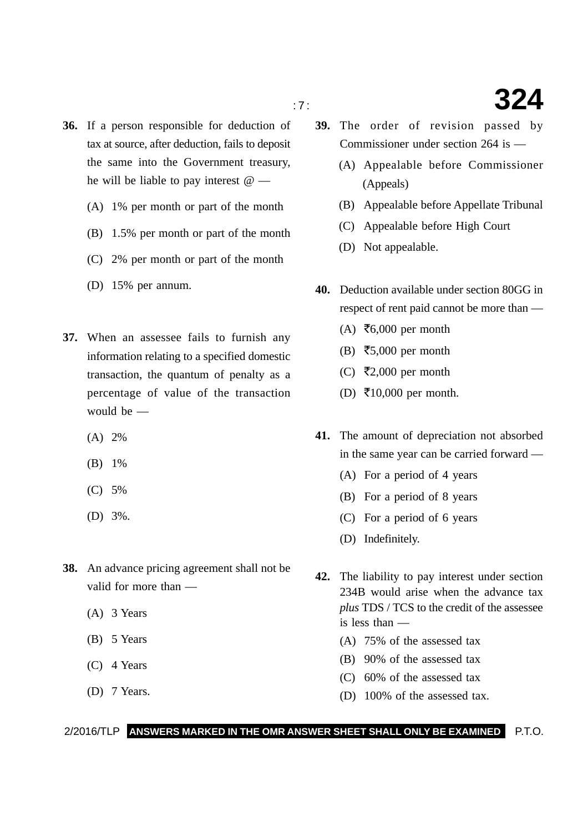- 
- **36.** If a person responsible for deduction of tax at source, after deduction, fails to deposit the same into the Government treasury, he will be liable to pay interest @ —
	- (A) 1% per month or part of the month
	- (B) 1.5% per month or part of the month
	- (C) 2% per month or part of the month
	- (D) 15% per annum.
- **37.** When an assessee fails to furnish any information relating to a specified domestic transaction, the quantum of penalty as a percentage of value of the transaction would be —
	- (A) 2%
	- (B) 1%
	- (C) 5%
	- (D) 3%.
- **38.** An advance pricing agreement shall not be valid for more than —
	- (A) 3 Years
	- (B) 5 Years
	- (C) 4 Years
	- (D) 7 Years.
- **39.** The order of revision passed by Commissioner under section 264 is —
	- (A) Appealable before Commissioner (Appeals)
	- (B) Appealable before Appellate Tribunal
	- (C) Appealable before High Court
	- (D) Not appealable.
- **40.** Deduction available under section 80GG in respect of rent paid cannot be more than —
	- (A) ₹6,000 per month
	- (B) ₹5,000 per month
	- (C) ₹2,000 per month
	- $(D)$  ₹10,000 per month.
- **41.** The amount of depreciation not absorbed in the same year can be carried forward —
	- (A) For a period of 4 years
	- (B) For a period of 8 years
	- (C) For a period of 6 years
	- (D) Indefinitely.
- **42.** The liability to pay interest under section 234B would arise when the advance tax *plus* TDS / TCS to the credit of the assessee is less than —
	- (A) 75% of the assessed tax
	- (B) 90% of the assessed tax
	- (C) 60% of the assessed tax
	- (D) 100% of the assessed tax.

# : 7 : **324**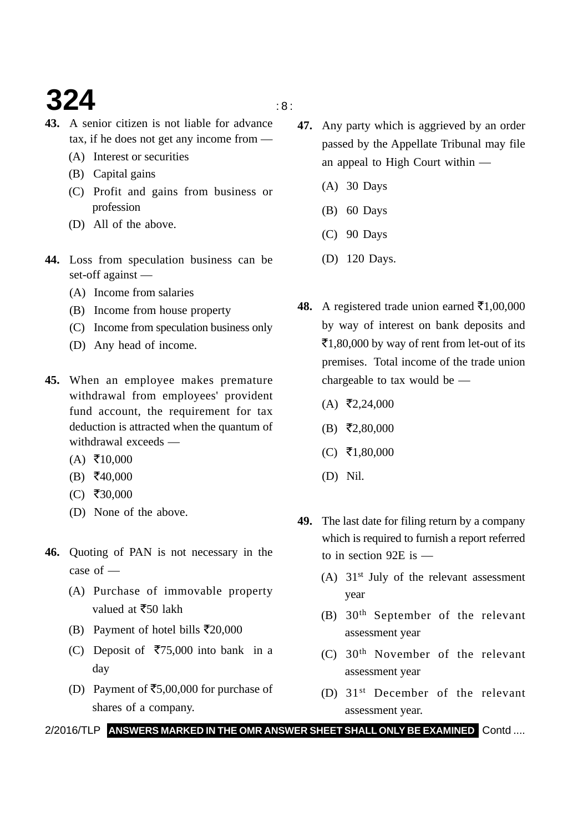# **324**  $\frac{1}{8}$

- **43.** A senior citizen is not liable for advance tax, if he does not get any income from —
	- (A) Interest or securities
	- (B) Capital gains
	- (C) Profit and gains from business or profession
	- (D) All of the above.
- **44.** Loss from speculation business can be set-off against —
	- (A) Income from salaries
	- (B) Income from house property
	- (C) Income from speculation business only
	- (D) Any head of income.
- **45.** When an employee makes premature withdrawal from employees' provident fund account, the requirement for tax deduction is attracted when the quantum of withdrawal exceeds —
	- $(A) \space \overline{\mathbf{5}}10,000$
	- $(B) \; \bar{=} \; 40,000$
	- $(C)$  ₹30,000
	- (D) None of the above.
- **46.** Quoting of PAN is not necessary in the case of —
	- (A) Purchase of immovable property valued at ₹50 lakh
	- (B) Payment of hotel bills ₹20,000
	- (C) Deposit of ₹75,000 into bank in a day
	- (D) Payment of  $\overline{55,00,000}$  for purchase of shares of a company.
- **47.** Any party which is aggrieved by an order passed by the Appellate Tribunal may file an appeal to High Court within —
	- (A) 30 Days
	- (B) 60 Days
	- (C) 90 Days
	- (D) 120 Days.
- **48.** A registered trade union earned  $\bar{\mathbf{z}}$ 1,00,000 by way of interest on bank deposits and ₹1,80,000 by way of rent from let-out of its premises. Total income of the trade union chargeable to tax would be —
	- $(A)$  ₹2,24,000
	- $(B)$  ₹2,80,000
	- $(C)$  ₹1,80,000
	- (D) Nil.
- **49.** The last date for filing return by a company which is required to furnish a report referred to in section 92E is —
	- (A)  $31<sup>st</sup>$  July of the relevant assessment year
	- (B) 30th September of the relevant assessment year
	- (C) 30th November of the relevant assessment year
	- (D) 31st December of the relevant assessment year.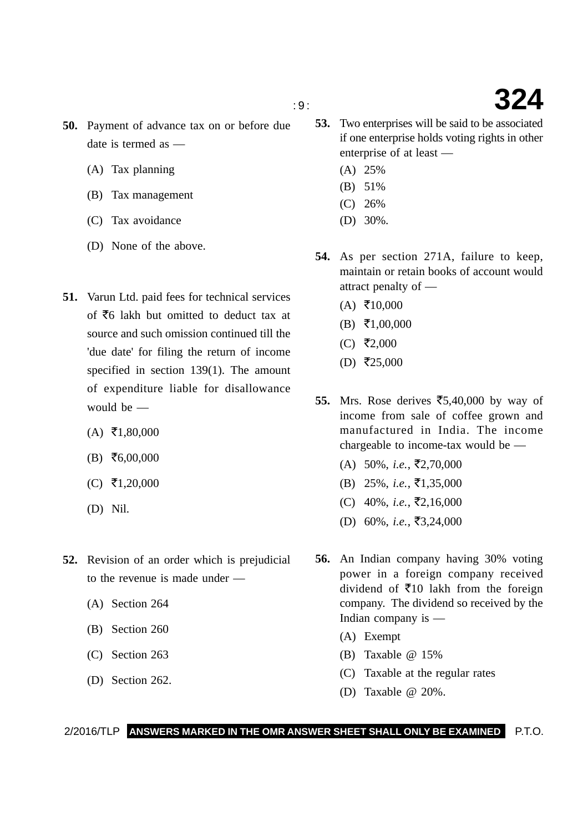- **50.** Payment of advance tax on or before due date is termed as —
	- (A) Tax planning
	- (B) Tax management
	- (C) Tax avoidance
	- (D) None of the above.
- **51.** Varun Ltd. paid fees for technical services of  $\bar{z}$ 6 lakh but omitted to deduct tax at source and such omission continued till the 'due date' for filing the return of income specified in section 139(1). The amount of expenditure liable for disallowance would be —
	- $(A) \space \overline{\mathbf{5}}1,80,000$
	- $(B) \; \bar{=} \; 6,00,000$
	- $(C)$  ₹1,20,000
	- (D) Nil.
- **52.** Revision of an order which is prejudicial to the revenue is made under —
	- (A) Section 264
	- (B) Section 260
	- (C) Section 263
	- (D) Section 262.
- **53.** Two enterprises will be said to be associated if one enterprise holds voting rights in other enterprise of at least —
	- (A) 25%
	- (B) 51%
	- (C) 26%
	- (D) 30%.
- **54.** As per section 271A, failure to keep, maintain or retain books of account would attract penalty of —
	- $(A) \space \overline{\mathbf{5}}10,000$
	- $(B) \ \overline{5}1,00,000$
	- $(C)$  ₹2,000
	- $(D)$  ₹25,000
- **55.** Mrs. Rose derives  $\overline{5,40,000}$  by way of income from sale of coffee grown and manufactured in India. The income chargeable to income-tax would be —
	- $(A)$  50%, *i.e.*,  $\overline{5}2,70,000$
	- $(B)$  25%, *i.e.*,  $\overline{\xi}$ 1,35,000
	- (C)  $40\%, i.e., ₹2,16,000$
	- (D) 60%, *i.e.*, ₹3,24,000
- **56.** An Indian company having 30% voting power in a foreign company received dividend of  $\bar{\mathfrak{Z}}10$  lakh from the foreign company. The dividend so received by the Indian company is —
	- (A) Exempt
	- (B) Taxable @ 15%
	- (C) Taxable at the regular rates
	- (D) Taxable @ 20%.

## **324**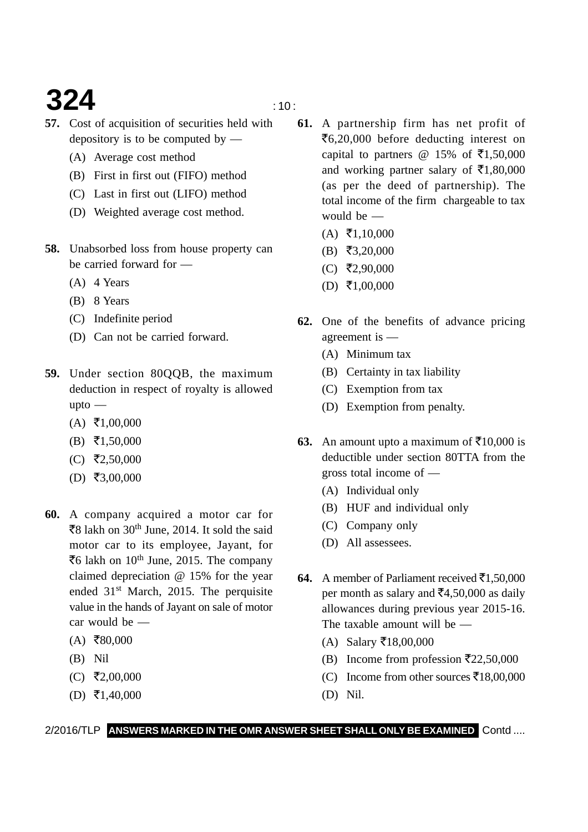# **324**  $\frac{10}{10}$

- **57.** Cost of acquisition of securities held with depository is to be computed by —
	- (A) Average cost method
	- (B) First in first out (FIFO) method
	- (C) Last in first out (LIFO) method
	- (D) Weighted average cost method.
- **58.** Unabsorbed loss from house property can be carried forward for —
	- (A) 4 Years
	- (B) 8 Years
	- (C) Indefinite period
	- (D) Can not be carried forward.
- **59.** Under section 80QQB, the maximum deduction in respect of royalty is allowed upto —
	- $(A) \ \overline{5}1,00,000$
	- $(B) \quad \overline{5}1,50,000$
	- $(C)$  ₹2,50,000
	- $(D)$  ₹3,00,000
- **60.** A company acquired a motor car for ₹8 lakh on 30<sup>th</sup> June, 2014. It sold the said motor car to its employee, Jayant, for ₹6 lakh on 10<sup>th</sup> June, 2015. The company claimed depreciation @ 15% for the year ended 31st March, 2015. The perquisite value in the hands of Jayant on sale of motor car would be —
	- $(A)$  ₹80,000
	- (B) Nil
	- $(C)$  ₹2,00,000
	- $(D) \ \overline{\mathbf{5}}1,40,000$
- **61.** A partnership firm has net profit of ₹6,20,000 before deducting interest on capital to partners @ 15% of  $\bar{\tau}$ 1,50,000 and working partner salary of  $\bar{\epsilon}$ 1,80,000 (as per the deed of partnership). The total income of the firm chargeable to tax would be —
	- $(A) \ \overline{5}1,10,000$
	- $(B)$  ₹3,20,000
	- $(C)$  ₹2,90,000
	- $(D) \ \overline{\mathbf{5}}1,00,000$
- **62.** One of the benefits of advance pricing agreement is —
	- (A) Minimum tax
	- (B) Certainty in tax liability
	- (C) Exemption from tax
	- (D) Exemption from penalty.
- **63.** An amount upto a maximum of  $\bar{\mathfrak{Z}}10,000$  is deductible under section 80TTA from the gross total income of —
	- (A) Individual only
	- (B) HUF and individual only
	- (C) Company only
	- (D) All assessees.
- **64.** A member of Parliament received  $\bar{\mathbf{z}}$ 1,50,000 per month as salary and  $\bar{c}4,50,000$  as daily allowances during previous year 2015-16. The taxable amount will be —
	- (A) Salary ₹18,00,000
	- (B) Income from profession  $\overline{\mathfrak{Z}}22,50,000$
	- (C) Income from other sources ₹18,00,000
	- (D) Nil.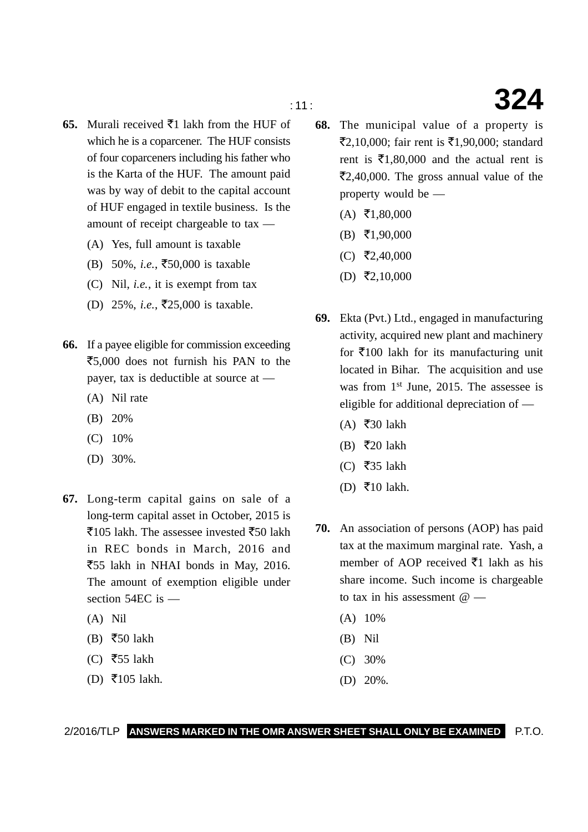- **65.** Murali received  $\bar{\mathbf{z}}$ 1 lakh from the HUF of which he is a coparcener. The HUF consists of four coparceners including his father who is the Karta of the HUF. The amount paid was by way of debit to the capital account of HUF engaged in textile business. Is the amount of receipt chargeable to tax —
	- (A) Yes, full amount is taxable
	- (B) 50%, *i.e.*, ₹50,000 is taxable
	- (C) Nil, *i.e.*, it is exempt from tax
	- (D) 25%, *i.e.*, ₹25,000 is taxable.
- **66.** If a payee eligible for commission exceeding ₹5,000 does not furnish his PAN to the payer, tax is deductible at source at —
	- (A) Nil rate
	- (B) 20%
	- (C) 10%
	- (D) 30%.
- **67.** Long-term capital gains on sale of a long-term capital asset in October, 2015 is ₹105 lakh. The assessee invested ₹50 lakh in REC bonds in March, 2016 and ₹55 lakh in NHAI bonds in May, 2016. The amount of exemption eligible under section 54EC is —
	- (A) Nil
	- (B) ₹50 lakh
	- (C) ₹55 lakh
	- $(D)$  ₹105 lakh.
- **68.** The municipal value of a property is ₹2,10,000; fair rent is ₹1,90,000; standard rent is  $\bar{\tau}$ 1,80,000 and the actual rent is  $\mathbf{F}2,40,000$ . The gross annual value of the property would be —
	- $(A) \space \overline{\mathbf{5}}1,80,000$
	- $(B) \t{5}$  (B)  $\t{5}$  (B)
	- $(C)$  ₹2,40,000
	- $(D)$  ₹2,10,000
- **69.** Ekta (Pvt.) Ltd., engaged in manufacturing activity, acquired new plant and machinery for ₹100 lakh for its manufacturing unit located in Bihar. The acquisition and use was from 1<sup>st</sup> June, 2015. The assessee is eligible for additional depreciation of —
	- $(A)$  ₹30 lakh
	- (B)  $\overline{5}20$  lakh
	- (C) ₹35 lakh
	- $(D)$  ₹10 lakh.
- **70.** An association of persons (AOP) has paid tax at the maximum marginal rate. Yash, a member of AOP received  $\bar{z}$ 1 lakh as his share income. Such income is chargeable to tax in his assessment  $@ =$ 
	- (A) 10%
	- (B) Nil
	- (C) 30%
	- (D) 20%.

2/2016/TLP **ANSWERS MARKED IN THE OMR ANSWER SHEET SHALL ONLY BE EXAMINED** P.T.O.

## : 11 : **324**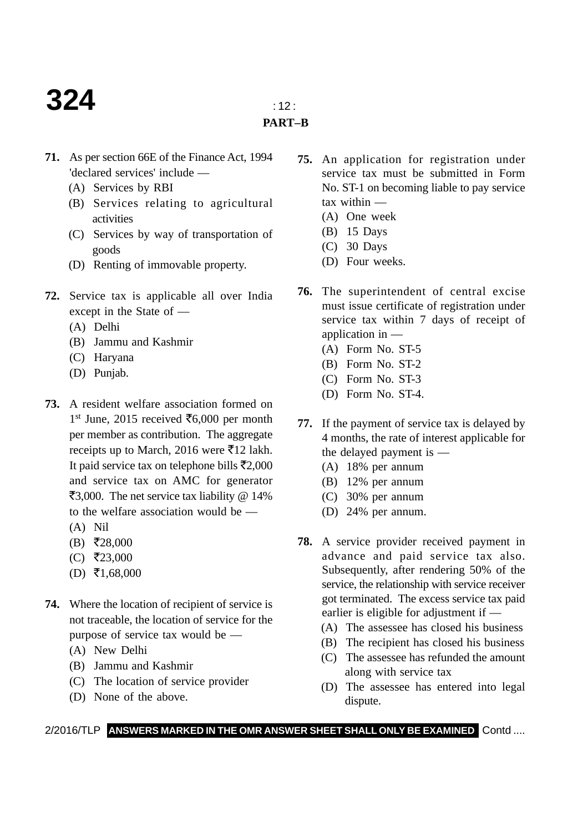# **324**  $\frac{1}{2}$

### **PART–B**

- **71.** As per section 66E of the Finance Act, 1994 'declared services' include —
	- (A) Services by RBI
	- (B) Services relating to agricultural activities
	- (C) Services by way of transportation of goods
	- (D) Renting of immovable property.
- **72.** Service tax is applicable all over India except in the State of —
	- (A) Delhi
	- (B) Jammu and Kashmir
	- (C) Haryana
	- (D) Punjab.
- **73.** A resident welfare association formed on 1<sup>st</sup> June, 2015 received ₹6,000 per month per member as contribution. The aggregate receipts up to March, 2016 were  $\bar{\mathfrak{e}}$ 12 lakh. It paid service tax on telephone bills  $\bar{\mathfrak{r}}2,000$ and service tax on AMC for generator ₹3,000. The net service tax liability @ 14% to the welfare association would be —
	- (A) Nil
	- $(B) \; \bar{=} \; 28,000$
	- $(C)$  ₹23,000
	- $(D) \ \overline{\mathbf{5}}1,68,000$
- **74.** Where the location of recipient of service is not traceable, the location of service for the purpose of service tax would be —
	- (A) New Delhi
	- (B) Jammu and Kashmir
	- (C) The location of service provider
	- (D) None of the above.
- **75.** An application for registration under service tax must be submitted in Form No. ST-1 on becoming liable to pay service tax within —
	- (A) One week
	- (B) 15 Days
	- (C) 30 Days
	- (D) Four weeks.
- **76.** The superintendent of central excise must issue certificate of registration under service tax within 7 days of receipt of application in —
	- (A) Form No. ST-5
	- (B) Form No. ST-2
	- (C) Form No. ST-3
	- (D) Form No. ST-4.
- **77.** If the payment of service tax is delayed by 4 months, the rate of interest applicable for the delayed payment is —
	- (A) 18% per annum
	- (B) 12% per annum
	- (C) 30% per annum
	- (D) 24% per annum.
- **78.** A service provider received payment in advance and paid service tax also. Subsequently, after rendering 50% of the service, the relationship with service receiver got terminated. The excess service tax paid earlier is eligible for adjustment if —
	- (A) The assessee has closed his business
	- (B) The recipient has closed his business
	- (C) The assessee has refunded the amount along with service tax
	- (D) The assessee has entered into legal dispute.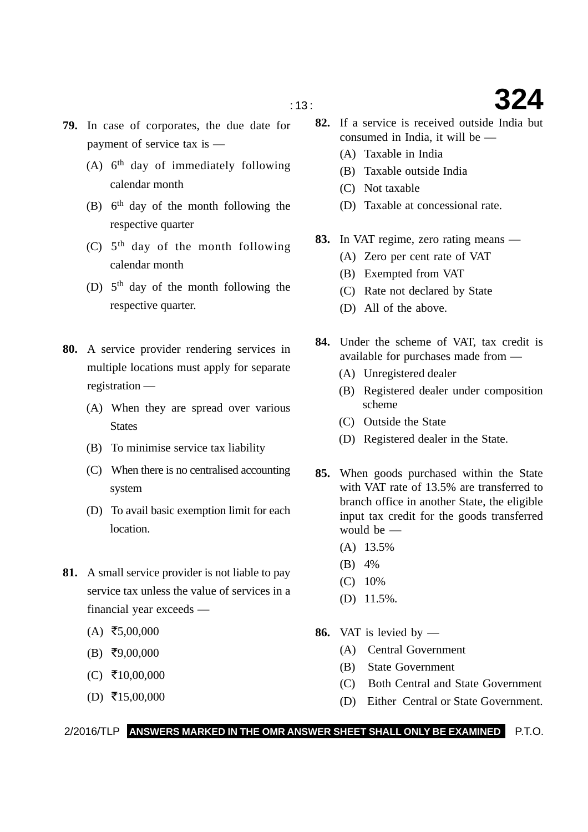- **79.** In case of corporates, the due date for payment of service tax is —
	- (A)  $6<sup>th</sup>$  day of immediately following calendar month
	- (B)  $6<sup>th</sup>$  day of the month following the respective quarter
	- (C)  $5<sup>th</sup>$  day of the month following calendar month
	- (D)  $5<sup>th</sup>$  day of the month following the respective quarter.
- **80.** A service provider rendering services in multiple locations must apply for separate registration —
	- (A) When they are spread over various **States**
	- (B) To minimise service tax liability
	- (C) When there is no centralised accounting system
	- (D) To avail basic exemption limit for each location.
- **81.** A small service provider is not liable to pay service tax unless the value of services in a financial year exceeds —
	- $(A)$  ₹5,00,000
	- $(B)$  ₹9,00,000
	- $(C)$  ₹10,00,000
	- $(D)$  ₹15,00,000
- **82.** If a service is received outside India but consumed in India, it will be —
	- (A) Taxable in India
	- (B) Taxable outside India
	- (C) Not taxable
	- (D) Taxable at concessional rate.
- **83.** In VAT regime, zero rating means
	- (A) Zero per cent rate of VAT
	- (B) Exempted from VAT
	- (C) Rate not declared by State
	- (D) All of the above.
- **84.** Under the scheme of VAT, tax credit is available for purchases made from —
	- (A) Unregistered dealer
	- (B) Registered dealer under composition scheme
	- (C) Outside the State
	- (D) Registered dealer in the State.
- **85.** When goods purchased within the State with VAT rate of 13.5% are transferred to branch office in another State, the eligible input tax credit for the goods transferred would be —
	- (A) 13.5%
	- (B) 4%
	- (C) 10%
	- (D) 11.5%.
- **86.** VAT is levied by
	- (A) Central Government
	- (B) State Government
	- (C) Both Central and State Government
	- (D) Either Central or State Government.

2/2016/TLP **ANSWERS MARKED IN THE OMR ANSWER SHEET SHALL ONLY BE EXAMINED** P.T.O.

: 13 : **324**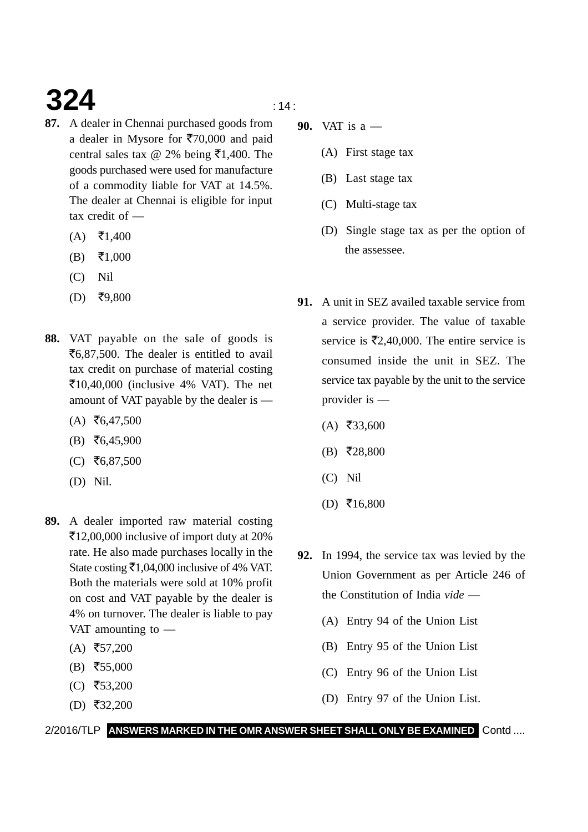# **324**  $\frac{14}{14}$

- **87.** A dealer in Chennai purchased goods from a dealer in Mysore for  $\overline{570,000}$  and paid central sales tax @ 2% being  $\bar{\mathfrak{F}}1,400$ . The goods purchased were used for manufacture of a commodity liable for VAT at 14.5%. The dealer at Chennai is eligible for input tax credit of —
	- $(A)$  ₹1,400
	- $(B)$  $\bar{x}$ 1,000
	- (C) Nil
	- $(D)$  ₹9,800
- **88.** VAT payable on the sale of goods is  $\mathfrak{F}_{6,87,500}$ . The dealer is entitled to avail tax credit on purchase of material costing -10,40,000 (inclusive 4% VAT). The net amount of VAT payable by the dealer is —
	- $(A)$  ₹6,47,500
	- $(B) \; \bar{=} \; 6,45,900$
	- $(C)$  ₹6,87,500
	- (D) Nil.
- **89.** A dealer imported raw material costing -12,00,000 inclusive of import duty at 20% rate. He also made purchases locally in the State costing  $\bar{\bar{\mathcal{F}}}$ 1,04,000 inclusive of 4% VAT. Both the materials were sold at 10% profit on cost and VAT payable by the dealer is 4% on turnover. The dealer is liable to pay VAT amounting to —
	- $(A)$  ₹57,200
	- $(B)$  ₹55,000
	- $(C)$  ₹53,200
	- $(D)$  ₹32,200

- **90.** VAT is a
	- (A) First stage tax
	- (B) Last stage tax
	- (C) Multi-stage tax
	- (D) Single stage tax as per the option of the assessee.
- **91.** A unit in SEZ availed taxable service from a service provider. The value of taxable service is  $\overline{5}2,40,000$ . The entire service is consumed inside the unit in SEZ. The service tax payable by the unit to the service provider is —
	- $(A)$  ₹33,600
	- $(B)$  ₹28,800
	- (C) Nil
	- $(D) \; \bar{=} 16,800$
- **92.** In 1994, the service tax was levied by the Union Government as per Article 246 of the Constitution of India *vide* —
	- (A) Entry 94 of the Union List
	- (B) Entry 95 of the Union List
	- (C) Entry 96 of the Union List
	- (D) Entry 97 of the Union List.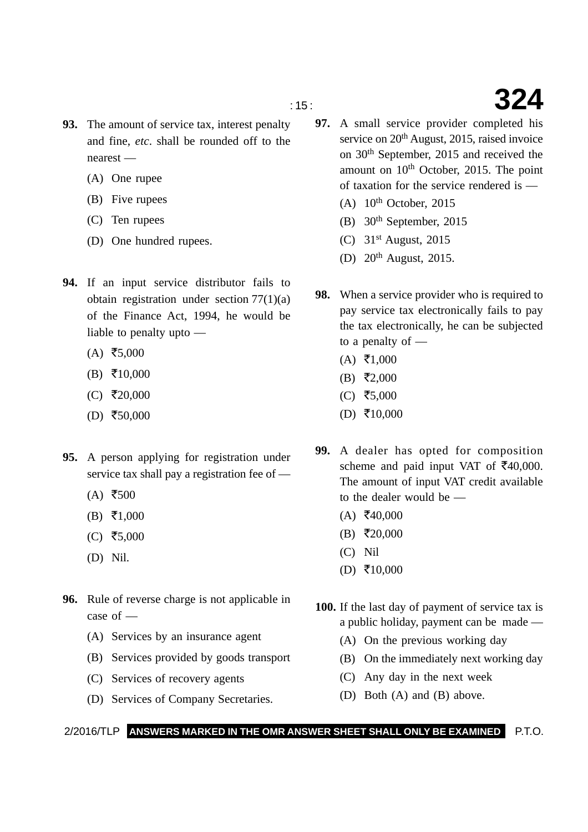- **93.** The amount of service tax, interest penalty and fine, *etc*. shall be rounded off to the nearest —
	- (A) One rupee
	- (B) Five rupees
	- (C) Ten rupees
	- (D) One hundred rupees.
- **94.** If an input service distributor fails to obtain registration under section 77(1)(a) of the Finance Act, 1994, he would be liable to penalty upto —
	- $(A)$  ₹5,000
	- $(B) \quad \text{I}0,000$
	- $(C)$  ₹20,000
	- $(D)$  ₹50,000
- **95.** A person applying for registration under service tax shall pay a registration fee of —
	- $(A)$  ₹500
	- $(B) \t{5}1,000$
	- $(C)$  ₹5,000
	- (D) Nil.
- **96.** Rule of reverse charge is not applicable in case of —
	- (A) Services by an insurance agent
	- (B) Services provided by goods transport
	- (C) Services of recovery agents
	- (D) Services of Company Secretaries.
- : 15 : **324**
	- **97.** A small service provider completed his service on 20<sup>th</sup> August, 2015, raised invoice on 30th September, 2015 and received the amount on 10th October, 2015. The point of taxation for the service rendered is —
		- $(A)$  10<sup>th</sup> October, 2015
		- (B) 30th September, 2015
		- (C)  $31<sup>st</sup>$  August, 2015
		- (D) 20th August, 2015.
	- **98.** When a service provider who is required to pay service tax electronically fails to pay the tax electronically, he can be subjected to a penalty of —
		- $(A) \; \bar{=} \; 1,000$
		- $(B) \; \bar{=} \; 2,000$
		- $(C)$  ₹5,000
		- $(D)$  ₹10,000
	- **99.** A dealer has opted for composition scheme and paid input VAT of  $\text{\textsterling}40,000$ . The amount of input VAT credit available to the dealer would be —
		- $(A)$  ₹40,000
		- $(B) \; \bar{=} \; 20,000$
		- (C) Nil
		- $(D)$  ₹10,000
	- **100.** If the last day of payment of service tax is a public holiday, payment can be made —
		- (A) On the previous working day
		- (B) On the immediately next working day
		- (C) Any day in the next week
		- (D) Both (A) and (B) above.